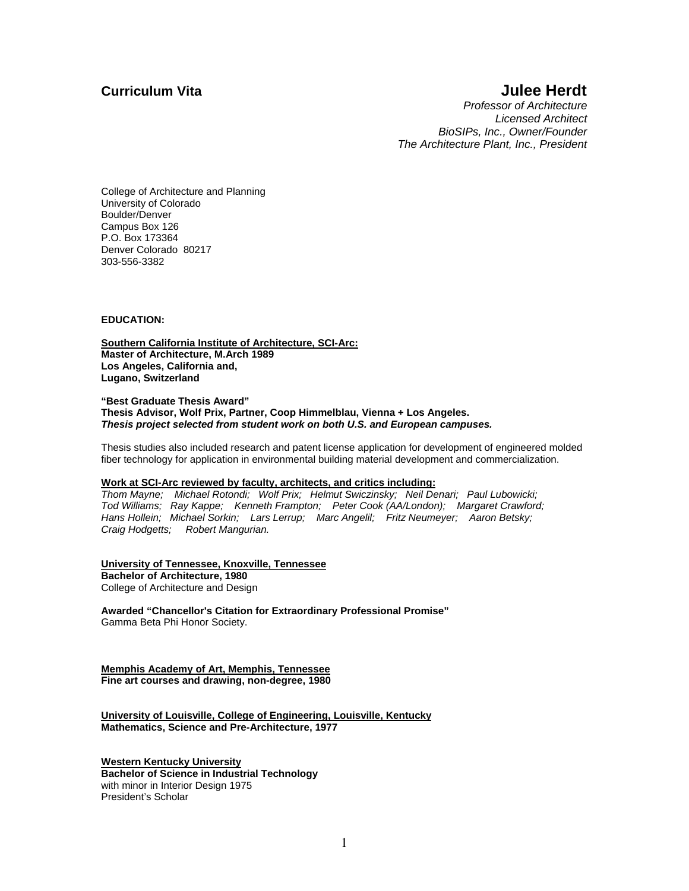### **Curriculum Vita Curriculum Vita Julee Herdt**

*Professor of Architecture Licensed Architect BioSIPs, Inc., Owner/Founder The Architecture Plant, Inc., President* 

College of Architecture and Planning University of Colorado Boulder/Denver Campus Box 126 P.O. Box 173364 Denver Colorado 80217 303-556-3382

#### **EDUCATION:**

**Southern California Institute of Architecture, SCI-Arc: Master of Architecture, M.Arch 1989 Los Angeles, California and, Lugano, Switzerland** 

**"Best Graduate Thesis Award" Thesis Advisor, Wolf Prix, Partner, Coop Himmelblau, Vienna + Los Angeles.**  *Thesis project selected from student work on both U.S. and European campuses.* 

Thesis studies also included research and patent license application for development of engineered molded fiber technology for application in environmental building material development and commercialization.

#### **Work at SCI-Arc reviewed by faculty, architects, and critics including:**

*Thom Mayne; Michael Rotondi; Wolf Prix; Helmut Swiczinsky; Neil Denari; Paul Lubowicki; Tod Williams; Ray Kappe; Kenneth Frampton; Peter Cook (AA/London); Margaret Crawford; Hans Hollein; Michael Sorkin; Lars Lerrup; Marc Angelil; Fritz Neumeyer; Aaron Betsky; Craig Hodgetts; Robert Mangurian.* 

#### **University of Tennessee, Knoxville, Tennessee**

**Bachelor of Architecture, 1980**  College of Architecture and Design

**Awarded "Chancellor's Citation for Extraordinary Professional Promise"**  Gamma Beta Phi Honor Society.

**Memphis Academy of Art, Memphis, Tennessee Fine art courses and drawing, non-degree, 1980** 

**University of Louisville, College of Engineering, Louisville, Kentucky Mathematics, Science and Pre-Architecture, 1977** 

**Western Kentucky University Bachelor of Science in Industrial Technology**  with minor in Interior Design 1975 President's Scholar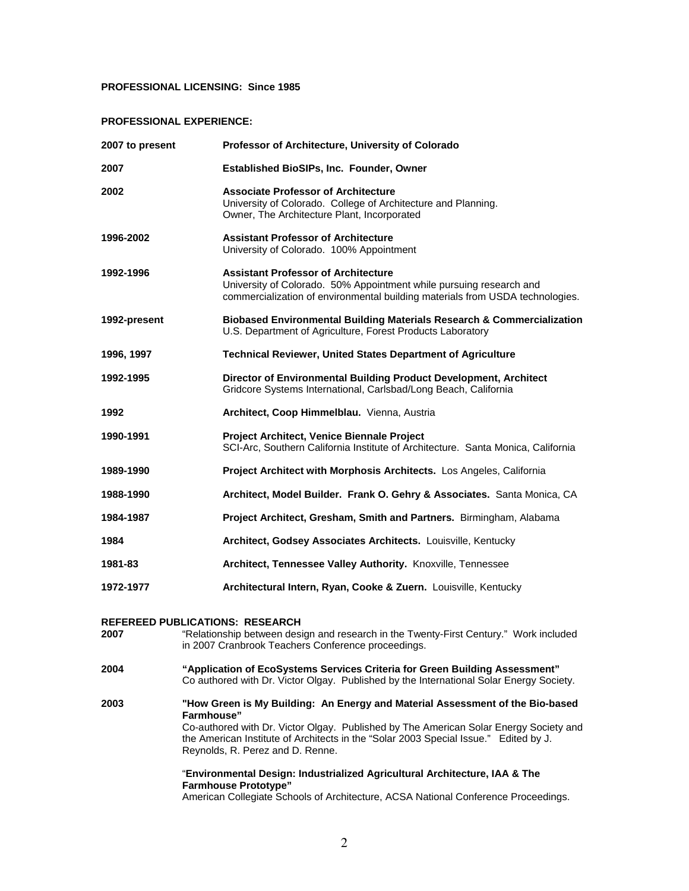#### **PROFESSIONAL LICENSING: Since 1985**

#### **PROFESSIONAL EXPERIENCE:**

| 2007 to present | Professor of Architecture, University of Colorado                                                                                                                                                                                                                            |
|-----------------|------------------------------------------------------------------------------------------------------------------------------------------------------------------------------------------------------------------------------------------------------------------------------|
| 2007            | <b>Established BioSIPs, Inc. Founder, Owner</b>                                                                                                                                                                                                                              |
| 2002            | <b>Associate Professor of Architecture</b><br>University of Colorado. College of Architecture and Planning.<br>Owner, The Architecture Plant, Incorporated                                                                                                                   |
| 1996-2002       | <b>Assistant Professor of Architecture</b><br>University of Colorado. 100% Appointment                                                                                                                                                                                       |
| 1992-1996       | <b>Assistant Professor of Architecture</b><br>University of Colorado. 50% Appointment while pursuing research and<br>commercialization of environmental building materials from USDA technologies.                                                                           |
| 1992-present    | Biobased Environmental Building Materials Research & Commercialization<br>U.S. Department of Agriculture, Forest Products Laboratory                                                                                                                                         |
| 1996, 1997      | <b>Technical Reviewer, United States Department of Agriculture</b>                                                                                                                                                                                                           |
| 1992-1995       | Director of Environmental Building Product Development, Architect<br>Gridcore Systems International, Carlsbad/Long Beach, California                                                                                                                                         |
| 1992            | Architect, Coop Himmelblau. Vienna, Austria                                                                                                                                                                                                                                  |
| 1990-1991       | Project Architect, Venice Biennale Project<br>SCI-Arc, Southern California Institute of Architecture. Santa Monica, California                                                                                                                                               |
| 1989-1990       | Project Architect with Morphosis Architects. Los Angeles, California                                                                                                                                                                                                         |
| 1988-1990       | Architect, Model Builder. Frank O. Gehry & Associates. Santa Monica, CA                                                                                                                                                                                                      |
| 1984-1987       | Project Architect, Gresham, Smith and Partners. Birmingham, Alabama                                                                                                                                                                                                          |
| 1984            | Architect, Godsey Associates Architects. Louisville, Kentucky                                                                                                                                                                                                                |
| 1981-83         | Architect, Tennessee Valley Authority. Knoxville, Tennessee                                                                                                                                                                                                                  |
| 1972-1977       | Architectural Intern, Ryan, Cooke & Zuern. Louisville, Kentucky                                                                                                                                                                                                              |
| 2007            | <b>REFEREED PUBLICATIONS: RESEARCH</b><br>"Relationship between design and research in the Twenty-First Century." Work included<br>in 2007 Cranbrook Teachers Conference proceedings.                                                                                        |
| 2004            | "Application of EcoSystems Services Criteria for Green Building Assessment"<br>Co authored with Dr. Victor Olgay. Published by the International Solar Energy Society.                                                                                                       |
| 2003            | "How Green is My Building: An Energy and Material Assessment of the Bio-based<br>Farmhouse"<br>Co-authored with Dr. Victor Olgay. Published by The American Solar Energy Society and<br>the American Institute of Architects in the "Solar 2003 Special Issue." Edited by J. |

Reynolds, R. Perez and D. Renne.

#### "**Environmental Design: Industrialized Agricultural Architecture, IAA & The Farmhouse Prototype"**

American Collegiate Schools of Architecture, ACSA National Conference Proceedings.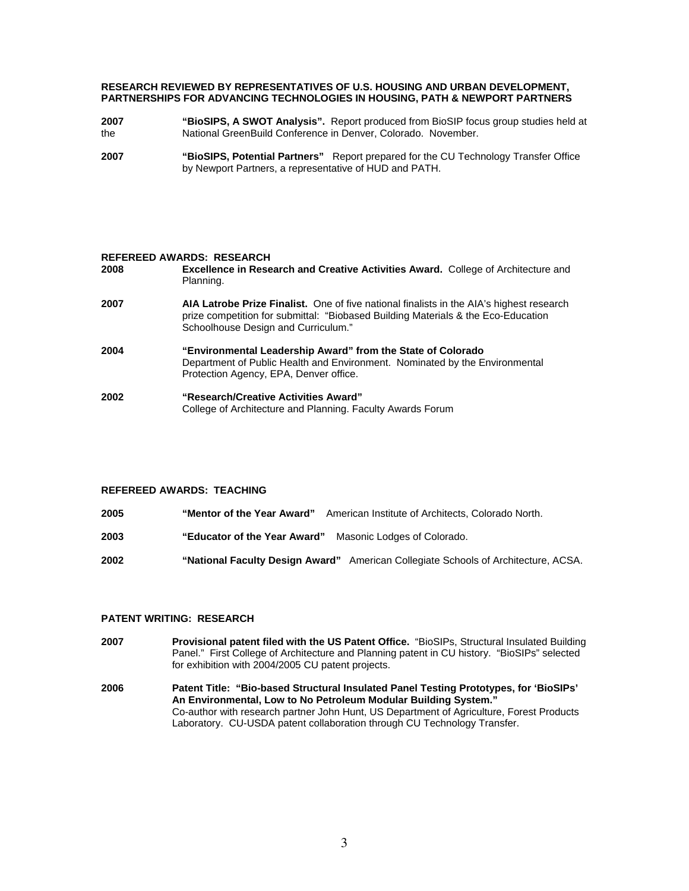#### **RESEARCH REVIEWED BY REPRESENTATIVES OF U.S. HOUSING AND URBAN DEVELOPMENT, PARTNERSHIPS FOR ADVANCING TECHNOLOGIES IN HOUSING, PATH & NEWPORT PARTNERS**

- **2007 "BioSIPS, A SWOT Analysis".** Report produced from BioSIP focus group studies held at the National GreenBuild Conference in Denver, Colorado. November.
- **2007 "BioSIPS, Potential Partners"** Report prepared for the CU Technology Transfer Office by Newport Partners, a representative of HUD and PATH.

#### **REFEREED AWARDS: RESEARCH**

| 2008 | <b>Excellence in Research and Creative Activities Award.</b> College of Architecture and<br>Planning.                                                                                                                       |
|------|-----------------------------------------------------------------------------------------------------------------------------------------------------------------------------------------------------------------------------|
| 2007 | <b>AIA Latrobe Prize Finalist.</b> One of five national finalists in the AIA's highest research<br>prize competition for submittal: "Biobased Building Materials & the Eco-Education<br>Schoolhouse Design and Curriculum." |
| 2004 | "Environmental Leadership Award" from the State of Colorado<br>Department of Public Health and Environment. Nominated by the Environmental<br>Protection Agency, EPA, Denver office.                                        |
| 2002 | "Research/Creative Activities Award"<br>College of Architecture and Planning. Faculty Awards Forum                                                                                                                          |

#### **REFEREED AWARDS: TEACHING**

- **2005 "Mentor of the Year Award"** American Institute of Architects, Colorado North.
- **2003 "Educator of the Year Award"** Masonic Lodges of Colorado.
- **2002 "National Faculty Design Award"** American Collegiate Schools of Architecture, ACSA.

#### **PATENT WRITING: RESEARCH**

- **2007 Provisional patent filed with the US Patent Office.** "BioSIPs, Structural Insulated Building Panel." First College of Architecture and Planning patent in CU history. "BioSIPs" selected for exhibition with 2004/2005 CU patent projects.
- **2006 Patent Title: "Bio-based Structural Insulated Panel Testing Prototypes, for 'BioSIPs' An Environmental, Low to No Petroleum Modular Building System."**  Co-author with research partner John Hunt, US Department of Agriculture, Forest Products Laboratory. CU-USDA patent collaboration through CU Technology Transfer.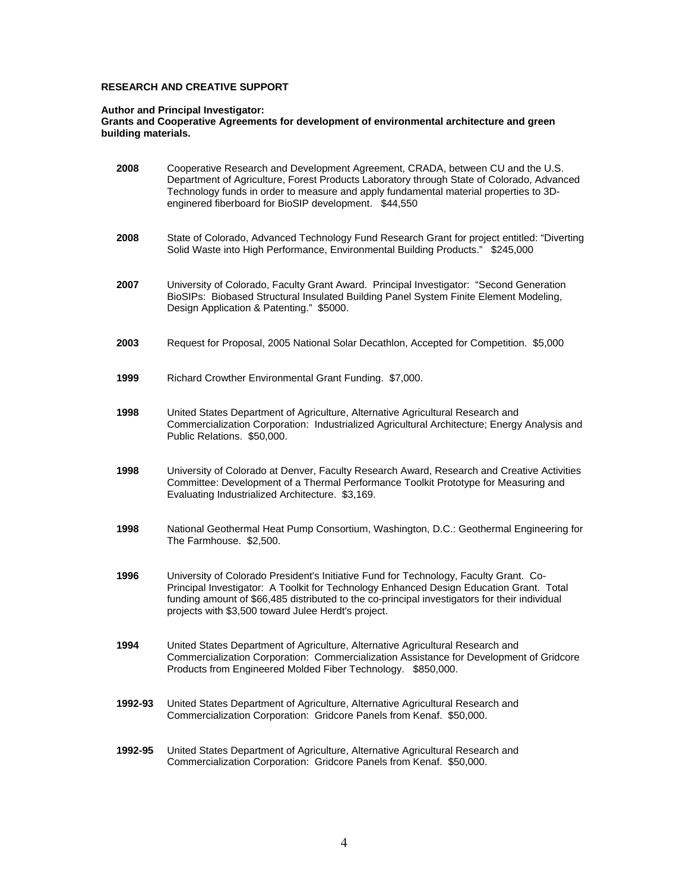#### **RESEARCH AND CREATIVE SUPPORT**

#### **Author and Principal Investigator:**

**Grants and Cooperative Agreements for development of environmental architecture and green building materials.** 

| 2008    | Cooperative Research and Development Agreement, CRADA, between CU and the U.S.<br>Department of Agriculture, Forest Products Laboratory through State of Colorado, Advanced<br>Technology funds in order to measure and apply fundamental material properties to 3D-<br>enginered fiberboard for BioSIP development. \$44,550            |
|---------|------------------------------------------------------------------------------------------------------------------------------------------------------------------------------------------------------------------------------------------------------------------------------------------------------------------------------------------|
| 2008    | State of Colorado, Advanced Technology Fund Research Grant for project entitled: "Diverting<br>Solid Waste into High Performance, Environmental Building Products." \$245,000                                                                                                                                                            |
| 2007    | University of Colorado, Faculty Grant Award. Principal Investigator: "Second Generation<br>BioSIPs: Biobased Structural Insulated Building Panel System Finite Element Modeling,<br>Design Application & Patenting." \$5000.                                                                                                             |
| 2003    | Request for Proposal, 2005 National Solar Decathlon, Accepted for Competition. \$5,000                                                                                                                                                                                                                                                   |
| 1999    | Richard Crowther Environmental Grant Funding. \$7,000.                                                                                                                                                                                                                                                                                   |
| 1998    | United States Department of Agriculture, Alternative Agricultural Research and<br>Commercialization Corporation: Industrialized Agricultural Architecture; Energy Analysis and<br>Public Relations. \$50,000.                                                                                                                            |
| 1998    | University of Colorado at Denver, Faculty Research Award, Research and Creative Activities<br>Committee: Development of a Thermal Performance Toolkit Prototype for Measuring and<br>Evaluating Industrialized Architecture. \$3,169.                                                                                                    |
| 1998    | National Geothermal Heat Pump Consortium, Washington, D.C.: Geothermal Engineering for<br>The Farmhouse. \$2,500.                                                                                                                                                                                                                        |
| 1996    | University of Colorado President's Initiative Fund for Technology, Faculty Grant. Co-<br>Principal Investigator: A Toolkit for Technology Enhanced Design Education Grant. Total<br>funding amount of \$66,485 distributed to the co-principal investigators for their individual<br>projects with \$3,500 toward Julee Herdt's project. |
| 1994    | United States Department of Agriculture, Alternative Agricultural Research and<br>Commercialization Corporation: Commercialization Assistance for Development of Gridcore<br>Products from Engineered Molded Fiber Technology. \$850,000.                                                                                                |
| 1992-93 | United States Department of Agriculture, Alternative Agricultural Research and<br>Commercialization Corporation: Gridcore Panels from Kenaf. \$50,000.                                                                                                                                                                                   |
| 1992-95 | United States Department of Agriculture, Alternative Agricultural Research and<br>Commercialization Corporation: Gridcore Panels from Kenaf. \$50,000.                                                                                                                                                                                   |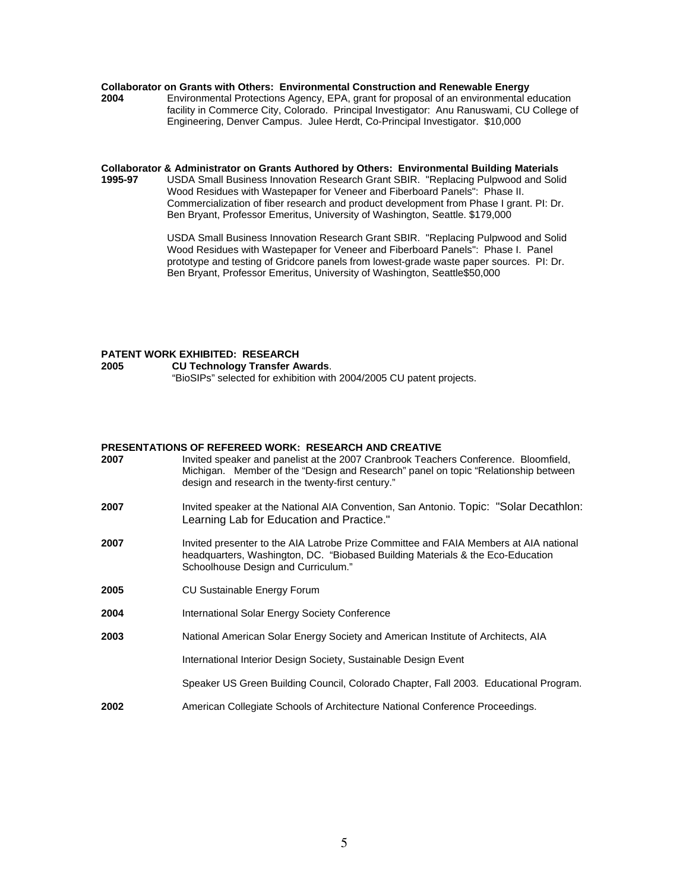# **Collaborator on Grants with Others: Environmental Construction and Renewable Energy<br>2004 Environmental Protections Agency, EPA, grant for proposal of an environmental e**

**2004** Environmental Protections Agency, EPA, grant for proposal of an environmental education facility in Commerce City, Colorado. Principal Investigator: Anu Ranuswami, CU College of Engineering, Denver Campus. Julee Herdt, Co-Principal Investigator. \$10,000

**Collaborator & Administrator on Grants Authored by Others: Environmental Building Materials 1995-97** USDA Small Business Innovation Research Grant SBIR. "Replacing Pulpwood and Solid Wood Residues with Wastepaper for Veneer and Fiberboard Panels": Phase II. Commercialization of fiber research and product development from Phase I grant. PI: Dr. Ben Bryant, Professor Emeritus, University of Washington, Seattle. \$179,000

> USDA Small Business Innovation Research Grant SBIR. "Replacing Pulpwood and Solid Wood Residues with Wastepaper for Veneer and Fiberboard Panels": Phase I. Panel prototype and testing of Gridcore panels from lowest-grade waste paper sources. PI: Dr. Ben Bryant, Professor Emeritus, University of Washington, Seattle\$50,000

# **PATENT WORK EXHIBITED: RESEARCH**

**2005 CU Technology Transfer Awards**. "BioSIPs" selected for exhibition with 2004/2005 CU patent projects.

#### **PRESENTATIONS OF REFEREED WORK: RESEARCH AND CREATIVE**

| 2007 | Invited speaker and panelist at the 2007 Cranbrook Teachers Conference. Bloomfield,<br>Michigan. Member of the "Design and Research" panel on topic "Relationship between<br>design and research in the twenty-first century." |
|------|--------------------------------------------------------------------------------------------------------------------------------------------------------------------------------------------------------------------------------|
| 2007 | Invited speaker at the National AIA Convention, San Antonio. Topic: "Solar Decathlon:<br>Learning Lab for Education and Practice."                                                                                             |
| 2007 | Invited presenter to the AIA Latrobe Prize Committee and FAIA Members at AIA national<br>headquarters, Washington, DC. "Biobased Building Materials & the Eco-Education<br>Schoolhouse Design and Curriculum."                 |
| 2005 | <b>CU Sustainable Energy Forum</b>                                                                                                                                                                                             |
| 2004 | International Solar Energy Society Conference                                                                                                                                                                                  |
| 2003 | National American Solar Energy Society and American Institute of Architects, AIA                                                                                                                                               |
|      | International Interior Design Society, Sustainable Design Event                                                                                                                                                                |
|      | Speaker US Green Building Council, Colorado Chapter, Fall 2003. Educational Program.                                                                                                                                           |
| 2002 | American Collegiate Schools of Architecture National Conference Proceedings.                                                                                                                                                   |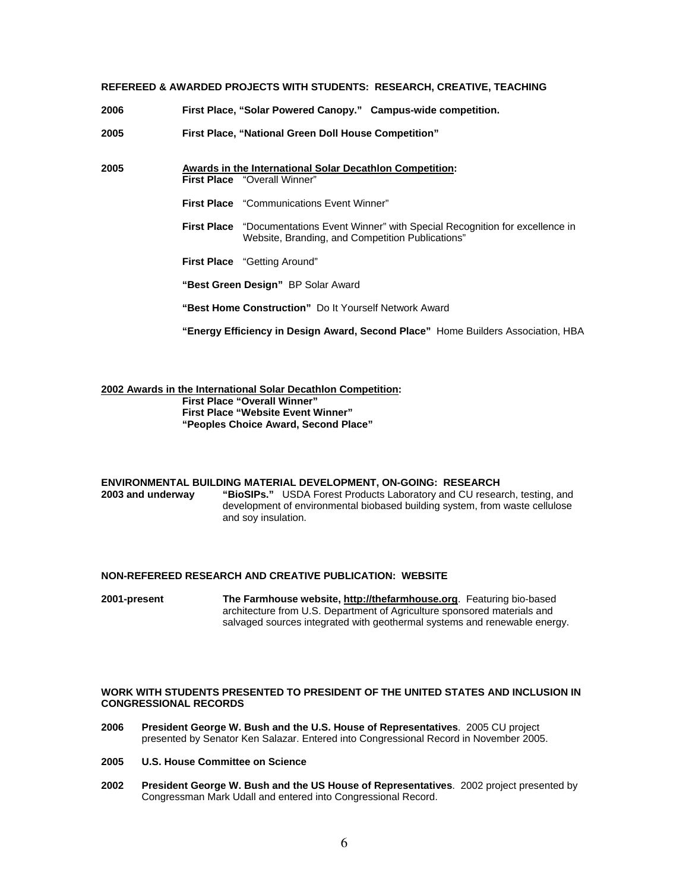#### **REFEREED & AWARDED PROJECTS WITH STUDENTS: RESEARCH, CREATIVE, TEACHING**

**2006 First Place, "Solar Powered Canopy." Campus-wide competition.** 

**2005 First Place, "National Green Doll House Competition"** 

- **2005 Awards in the International Solar Decathlon Competition: First Place** "Overall Winner"
	- **First Place** "Communications Event Winner"
	- **First Place** "Documentations Event Winner" with Special Recognition for excellence in Website, Branding, and Competition Publications"
	- **First Place** "Getting Around"
	- **"Best Green Design"** BP Solar Award
	- **"Best Home Construction"** Do It Yourself Network Award

**"Energy Efficiency in Design Award, Second Place"** Home Builders Association, HBA

**2002 Awards in the International Solar Decathlon Competition: First Place "Overall Winner" First Place "Website Event Winner" "Peoples Choice Award, Second Place"** 

# **ENVIRONMENTAL BUILDING MATERIAL DEVELOPMENT, ON-GOING: RESEARCH**

**2003 and underway "BioSIPs."** USDA Forest Products Laboratory and CU research, testing, and development of environmental biobased building system, from waste cellulose and soy insulation.

#### **NON-REFEREED RESEARCH AND CREATIVE PUBLICATION: WEBSITE**

**2001-present The Farmhouse website, [http://thefarmhouse.org](http://thefarmhouse.org/)**. Featuring bio-based architecture from U.S. Department of Agriculture sponsored materials and salvaged sources integrated with geothermal systems and renewable energy.

#### **WORK WITH STUDENTS PRESENTED TO PRESIDENT OF THE UNITED STATES AND INCLUSION IN CONGRESSIONAL RECORDS**

- **2006 President George W. Bush and the U.S. House of Representatives**. 2005 CU project presented by Senator Ken Salazar. Entered into Congressional Record in November 2005.
- **2005 U.S. House Committee on Science**
- **2002 President George W. Bush and the US House of Representatives**. 2002 project presented by Congressman Mark Udall and entered into Congressional Record.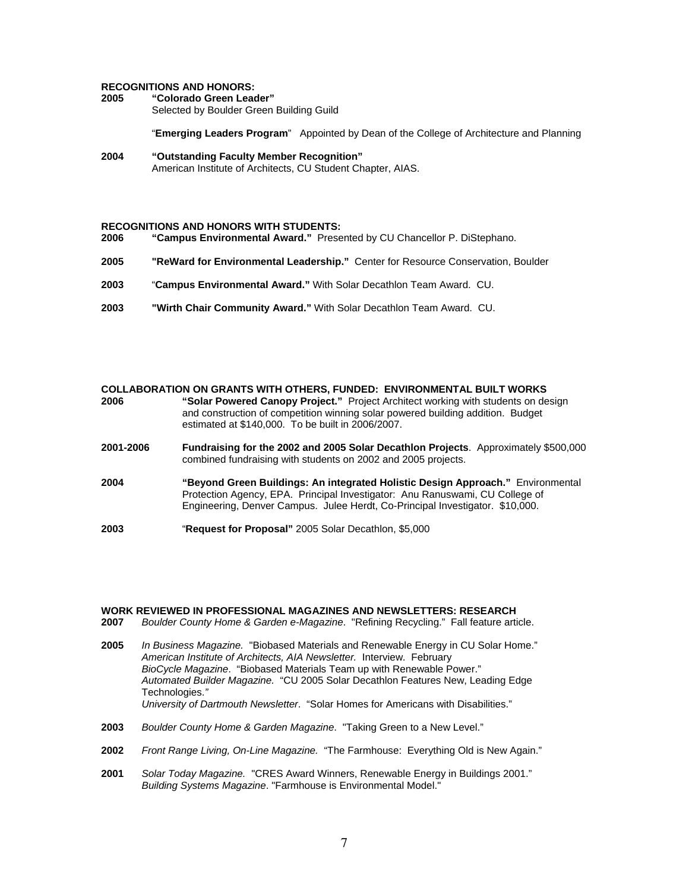# **RECOGNITIONS AND HONORS:**

**2005 "Colorado Green Leader"** Selected by Boulder Green Building Guild

"**Emerging Leaders Program**" Appointed by Dean of the College of Architecture and Planning

**2004 "Outstanding Faculty Member Recognition"**  American Institute of Architects, CU Student Chapter, AIAS.

#### **RECOGNITIONS AND HONORS WITH STUDENTS:**

- **2006 "Campus Environmental Award."** Presented by CU Chancellor P. DiStephano.
- **2005 "ReWard for Environmental Leadership."** Center for Resource Conservation, Boulder
- **2003** "**Campus Environmental Award."** With Solar Decathlon Team Award. CU.
- **2003 "Wirth Chair Community Award."** With Solar Decathlon Team Award. CU.

| 2006      | <b>COLLABORATION ON GRANTS WITH OTHERS, FUNDED: ENVIRONMENTAL BUILT WORKS</b><br>"Solar Powered Canopy Project." Project Architect working with students on design<br>and construction of competition winning solar powered building addition. Budget<br>estimated at \$140,000. To be built in 2006/2007. |
|-----------|------------------------------------------------------------------------------------------------------------------------------------------------------------------------------------------------------------------------------------------------------------------------------------------------------------|
| 2001-2006 | Fundraising for the 2002 and 2005 Solar Decathlon Projects. Approximately \$500,000<br>combined fundraising with students on 2002 and 2005 projects.                                                                                                                                                       |
| 2004      | "Beyond Green Buildings: An integrated Holistic Design Approach." Environmental<br>Protection Agency, EPA. Principal Investigator: Anu Ranuswami, CU College of<br>Engineering, Denver Campus. Julee Herdt, Co-Principal Investigator. \$10,000.                                                           |
| 2003      | "Request for Proposal" 2005 Solar Decathlon, \$5,000                                                                                                                                                                                                                                                       |

# **WORK REVIEWED IN PROFESSIONAL MAGAZINES AND NEWSLETTERS: RESEARCH**

- **2007** *Boulder County Home & Garden e-Magazine*. "Refining Recycling." Fall feature article.
- **2005** *In Business Magazine.* "Biobased Materials and Renewable Energy in CU Solar Home." *American Institute of Architects, AIA Newsletter.* Interview. February *BioCycle Magazine*. "Biobased Materials Team up with Renewable Power." *Automated Builder Magazine.* "CU 2005 Solar Decathlon Features New, Leading Edge Technologies.*" University of Dartmouth Newsletter*."Solar Homes for Americans with Disabilities."
- **2003** *Boulder County Home & Garden Magazine*. "Taking Green to a New Level."
- **2002** *Front Range Living, On-Line Magazine.* "The Farmhouse: Everything Old is New Again."
- **2001** *Solar Today Magazine.* "CRES Award Winners, Renewable Energy in Buildings 2001." *Building Systems Magazine*. "Farmhouse is Environmental Model."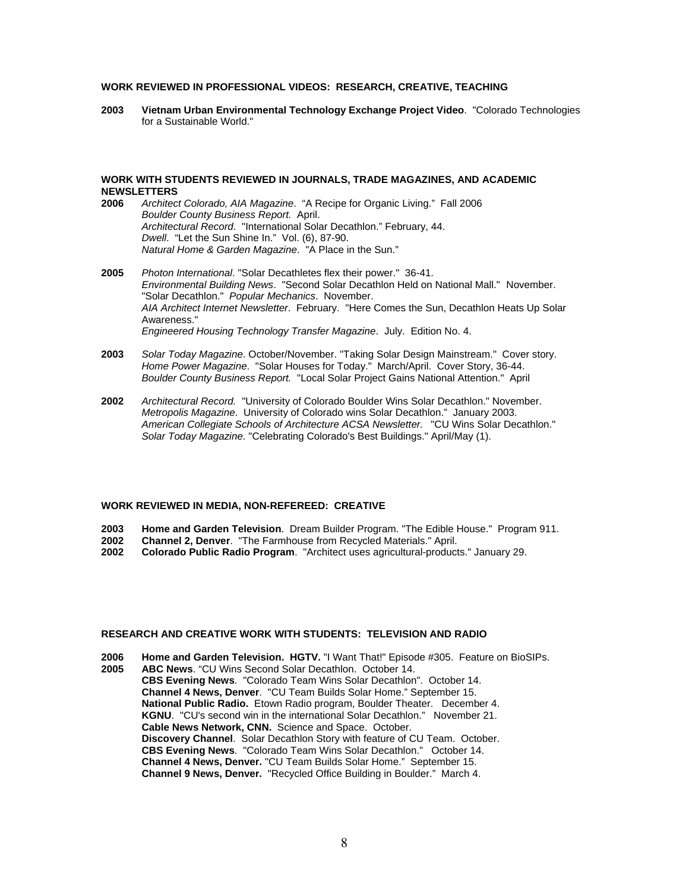#### **WORK REVIEWED IN PROFESSIONAL VIDEOS: RESEARCH, CREATIVE, TEACHING**

**2003 Vietnam Urban Environmental Technology Exchange Project Video**. "Colorado Technologies for a Sustainable World."

### **WORK WITH STUDENTS REVIEWED IN JOURNALS, TRADE MAGAZINES, AND ACADEMIC NEWSLETTERS**

- **2006** *Architect Colorado, AIA Magazine*. "A Recipe for Organic Living." Fall 2006 *Boulder County Business Report.* April. *Architectural Record*. "International Solar Decathlon." February, 44. *Dwell*. "Let the Sun Shine In." Vol. (6), 87-90. *Natural Home & Garden Magazine*. "A Place in the Sun."
- **2005** *Photon International*. "Solar Decathletes flex their power." 36-41. *Environmental Building News*. "Second Solar Decathlon Held on National Mall." November. "Solar Decathlon." *Popular Mechanics*. November. *AIA Architect Internet Newsletter*. February. "Here Comes the Sun, Decathlon Heats Up Solar Awareness." *Engineered Housing Technology Transfer Magazine*. July. Edition No. 4.
- **2003** *Solar Today Magazine*. October/November. "Taking Solar Design Mainstream." Cover story. *Home Power Magazine*. "Solar Houses for Today." March/April. Cover Story, 36-44. *Boulder County Business Report.* "Local Solar Project Gains National Attention." April
- **2002** *Architectural Record.* "University of Colorado Boulder Wins Solar Decathlon." November. *Metropolis Magazine*. University of Colorado wins Solar Decathlon." January 2003. *American Collegiate Schools of Architecture ACSA Newsletter.* "CU Wins Solar Decathlon." *Solar Today Magazine*. "Celebrating Colorado's Best Buildings." April/May (1).

#### **WORK REVIEWED IN MEDIA, NON-REFEREED: CREATIVE**

- **2003 Home and Garden Television**. Dream Builder Program. "The Edible House." Program 911.
- **2002 Channel 2, Denver**. "The Farmhouse from Recycled Materials." April.
- **2002 Colorado Public Radio Program**. "Architect uses agricultural-products." January 29.

#### **RESEARCH AND CREATIVE WORK WITH STUDENTS: TELEVISION AND RADIO**

- **2006 Home and Garden Television. HGTV.** "I Want That!" Episode #305. Feature on BioSIPs.
- **2005 ABC News**. "CU Wins Second Solar Decathlon. October 14. **CBS Evening News**. "Colorado Team Wins Solar Decathlon". October 14. **Channel 4 News, Denver**. "CU Team Builds Solar Home." September 15. **National Public Radio.** Etown Radio program, Boulder Theater. December 4. **KGNU**. "CU's second win in the international Solar Decathlon." November 21. **Cable News Network, CNN.** Science and Space. October. **Discovery Channel**. Solar Decathlon Story with feature of CU Team. October. **CBS Evening News**. "Colorado Team Wins Solar Decathlon." October 14. **Channel 4 News, Denver.** "CU Team Builds Solar Home." September 15. **Channel 9 News, Denver.** "Recycled Office Building in Boulder." March 4.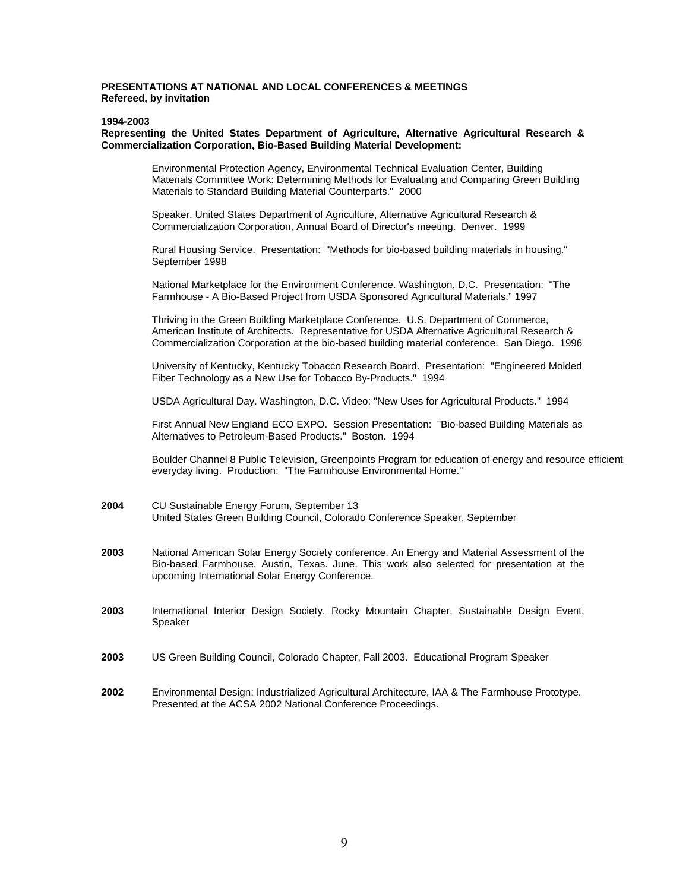#### **PRESENTATIONS AT NATIONAL AND LOCAL CONFERENCES & MEETINGS Refereed, by invitation**

#### **1994-2003**

#### **Representing the United States Department of Agriculture, Alternative Agricultural Research & Commercialization Corporation, Bio-Based Building Material Development:**

 Environmental Protection Agency, Environmental Technical Evaluation Center, Building Materials Committee Work: Determining Methods for Evaluating and Comparing Green Building Materials to Standard Building Material Counterparts." 2000

 Speaker. United States Department of Agriculture, Alternative Agricultural Research & Commercialization Corporation, Annual Board of Director's meeting. Denver. 1999

 Rural Housing Service. Presentation: "Methods for bio-based building materials in housing." September 1998

 National Marketplace for the Environment Conference. Washington, D.C. Presentation: "The Farmhouse - A Bio-Based Project from USDA Sponsored Agricultural Materials." 1997

 Thriving in the Green Building Marketplace Conference. U.S. Department of Commerce, American Institute of Architects. Representative for USDA Alternative Agricultural Research & Commercialization Corporation at the bio-based building material conference. San Diego. 1996

 University of Kentucky, Kentucky Tobacco Research Board. Presentation: "Engineered Molded Fiber Technology as a New Use for Tobacco By-Products." 1994

USDA Agricultural Day. Washington, D.C. Video: "New Uses for Agricultural Products." 1994

 First Annual New England ECO EXPO. Session Presentation: "Bio-based Building Materials as Alternatives to Petroleum-Based Products." Boston. 1994

 Boulder Channel 8 Public Television, Greenpoints Program for education of energy and resource efficient everyday living. Production: "The Farmhouse Environmental Home."

- **2004** CU Sustainable Energy Forum, September 13 United States Green Building Council, Colorado Conference Speaker, September
- **2003** National American Solar Energy Society conference. An Energy and Material Assessment of the Bio-based Farmhouse. Austin, Texas. June. This work also selected for presentation at the upcoming International Solar Energy Conference.
- **2003** International Interior Design Society, Rocky Mountain Chapter, Sustainable Design Event, Speaker
- **2003** US Green Building Council, Colorado Chapter, Fall 2003. Educational Program Speaker
- **2002** Environmental Design: Industrialized Agricultural Architecture, IAA & The Farmhouse Prototype. Presented at the ACSA 2002 National Conference Proceedings.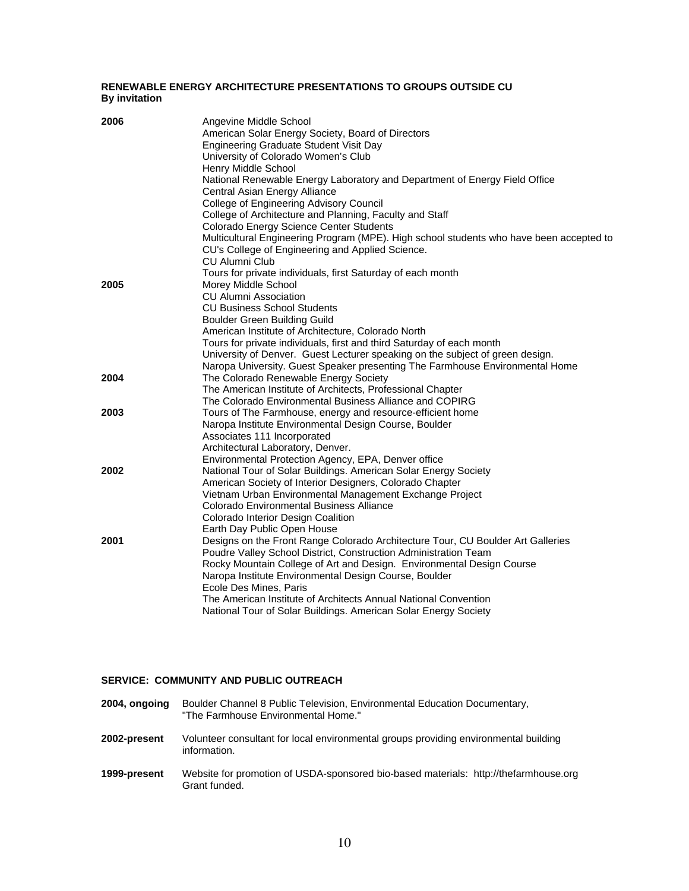#### **RENEWABLE ENERGY ARCHITECTURE PRESENTATIONS TO GROUPS OUTSIDE CU By invitation**

| 2006 | Angevine Middle School<br>American Solar Energy Society, Board of Directors<br>Engineering Graduate Student Visit Day<br>University of Colorado Women's Club<br>Henry Middle School<br>National Renewable Energy Laboratory and Department of Energy Field Office<br>Central Asian Energy Alliance<br>College of Engineering Advisory Council<br>College of Architecture and Planning, Faculty and Staff<br>Colorado Energy Science Center Students<br>Multicultural Engineering Program (MPE). High school students who have been accepted to<br>CU's College of Engineering and Applied Science.<br><b>CU Alumni Club</b> |
|------|-----------------------------------------------------------------------------------------------------------------------------------------------------------------------------------------------------------------------------------------------------------------------------------------------------------------------------------------------------------------------------------------------------------------------------------------------------------------------------------------------------------------------------------------------------------------------------------------------------------------------------|
| 2005 | Tours for private individuals, first Saturday of each month<br>Morey Middle School<br><b>CU Alumni Association</b><br><b>CU Business School Students</b><br>Boulder Green Building Guild<br>American Institute of Architecture, Colorado North                                                                                                                                                                                                                                                                                                                                                                              |
|      | Tours for private individuals, first and third Saturday of each month<br>University of Denver. Guest Lecturer speaking on the subject of green design.<br>Naropa University. Guest Speaker presenting The Farmhouse Environmental Home                                                                                                                                                                                                                                                                                                                                                                                      |
| 2004 | The Colorado Renewable Energy Society<br>The American Institute of Architects, Professional Chapter<br>The Colorado Environmental Business Alliance and COPIRG                                                                                                                                                                                                                                                                                                                                                                                                                                                              |
| 2003 | Tours of The Farmhouse, energy and resource-efficient home<br>Naropa Institute Environmental Design Course, Boulder<br>Associates 111 Incorporated<br>Architectural Laboratory, Denver.<br>Environmental Protection Agency, EPA, Denver office                                                                                                                                                                                                                                                                                                                                                                              |
| 2002 | National Tour of Solar Buildings. American Solar Energy Society<br>American Society of Interior Designers, Colorado Chapter<br>Vietnam Urban Environmental Management Exchange Project<br>Colorado Environmental Business Alliance<br>Colorado Interior Design Coalition<br>Earth Day Public Open House                                                                                                                                                                                                                                                                                                                     |
| 2001 | Designs on the Front Range Colorado Architecture Tour, CU Boulder Art Galleries<br>Poudre Valley School District, Construction Administration Team<br>Rocky Mountain College of Art and Design. Environmental Design Course<br>Naropa Institute Environmental Design Course, Boulder<br>Ecole Des Mines, Paris<br>The American Institute of Architects Annual National Convention<br>National Tour of Solar Buildings. American Solar Energy Society                                                                                                                                                                        |

### **SERVICE: COMMUNITY AND PUBLIC OUTREACH**

- **2004, ongoing** Boulder Channel 8 Public Television, Environmental Education Documentary, "The Farmhouse Environmental Home."
- **2002-present** Volunteer consultant for local environmental groups providing environmental building information.
- **1999-present** Website for promotion of USDA-sponsored bio-based materials: http://thefarmhouse.org Grant funded.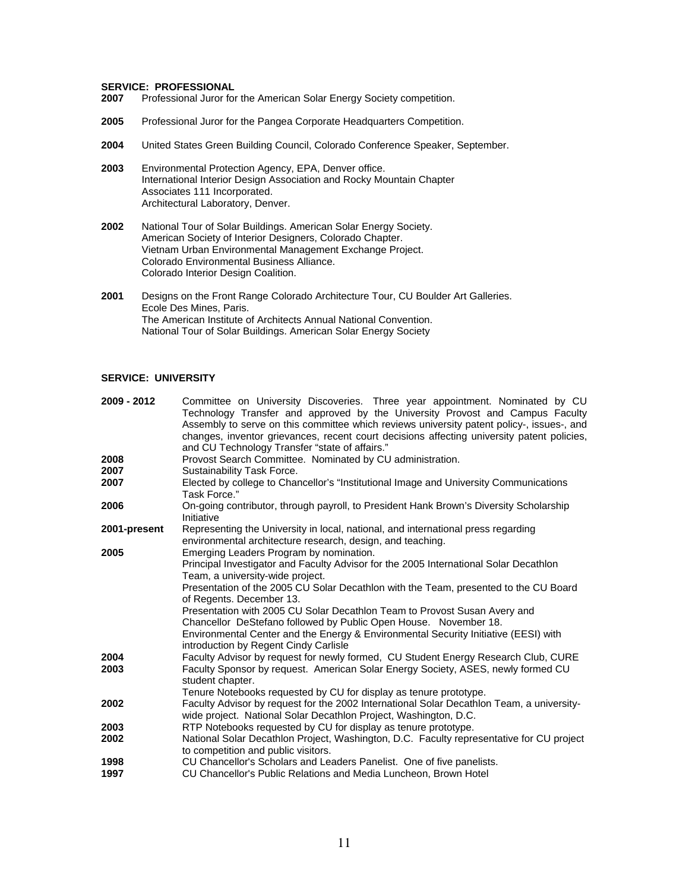# **SERVICE: PROFESSIONAL**<br>**2007** Professional Juror for

- **2007** Professional Juror for the American Solar Energy Society competition.
- **2005** Professional Juror for the Pangea Corporate Headquarters Competition.
- **2004** United States Green Building Council, Colorado Conference Speaker, September.
- **2003** Environmental Protection Agency, EPA, Denver office. International Interior Design Association and Rocky Mountain Chapter Associates 111 Incorporated. Architectural Laboratory, Denver.
- **2002** National Tour of Solar Buildings. American Solar Energy Society. American Society of Interior Designers, Colorado Chapter. Vietnam Urban Environmental Management Exchange Project. Colorado Environmental Business Alliance. Colorado Interior Design Coalition.
- **2001** Designs on the Front Range Colorado Architecture Tour, CU Boulder Art Galleries. Ecole Des Mines, Paris. The American Institute of Architects Annual National Convention. National Tour of Solar Buildings. American Solar Energy Society

#### **SERVICE: UNIVERSITY**

| Committee on University Discoveries. Three year appointment. Nominated by CU<br>Technology Transfer and approved by the University Provost and Campus Faculty<br>Assembly to serve on this committee which reviews university patent policy-, issues-, and<br>changes, inventor grievances, recent court decisions affecting university patent policies,                                                                                                                                                                                                                  |
|---------------------------------------------------------------------------------------------------------------------------------------------------------------------------------------------------------------------------------------------------------------------------------------------------------------------------------------------------------------------------------------------------------------------------------------------------------------------------------------------------------------------------------------------------------------------------|
| and CU Technology Transfer "state of affairs."                                                                                                                                                                                                                                                                                                                                                                                                                                                                                                                            |
| Provost Search Committee. Nominated by CU administration.<br>Sustainability Task Force.                                                                                                                                                                                                                                                                                                                                                                                                                                                                                   |
| Elected by college to Chancellor's "Institutional Image and University Communications<br>Task Force."                                                                                                                                                                                                                                                                                                                                                                                                                                                                     |
| On-going contributor, through payroll, to President Hank Brown's Diversity Scholarship<br>Initiative                                                                                                                                                                                                                                                                                                                                                                                                                                                                      |
| Representing the University in local, national, and international press regarding<br>environmental architecture research, design, and teaching.                                                                                                                                                                                                                                                                                                                                                                                                                           |
| Emerging Leaders Program by nomination.<br>Principal Investigator and Faculty Advisor for the 2005 International Solar Decathlon<br>Team, a university-wide project.<br>Presentation of the 2005 CU Solar Decathlon with the Team, presented to the CU Board<br>of Regents. December 13.<br>Presentation with 2005 CU Solar Decathlon Team to Provost Susan Avery and<br>Chancellor DeStefano followed by Public Open House. November 18.<br>Environmental Center and the Energy & Environmental Security Initiative (EESI) with<br>introduction by Regent Cindy Carlisle |
| Faculty Advisor by request for newly formed, CU Student Energy Research Club, CURE<br>Faculty Sponsor by request. American Solar Energy Society, ASES, newly formed CU<br>student chapter.<br>Tenure Notebooks requested by CU for display as tenure prototype.                                                                                                                                                                                                                                                                                                           |
| Faculty Advisor by request for the 2002 International Solar Decathlon Team, a university-<br>wide project. National Solar Decathlon Project, Washington, D.C.                                                                                                                                                                                                                                                                                                                                                                                                             |
| RTP Notebooks requested by CU for display as tenure prototype.                                                                                                                                                                                                                                                                                                                                                                                                                                                                                                            |
| National Solar Decathlon Project, Washington, D.C. Faculty representative for CU project<br>to competition and public visitors.                                                                                                                                                                                                                                                                                                                                                                                                                                           |
| CU Chancellor's Scholars and Leaders Panelist. One of five panelists.<br>CU Chancellor's Public Relations and Media Luncheon, Brown Hotel                                                                                                                                                                                                                                                                                                                                                                                                                                 |
|                                                                                                                                                                                                                                                                                                                                                                                                                                                                                                                                                                           |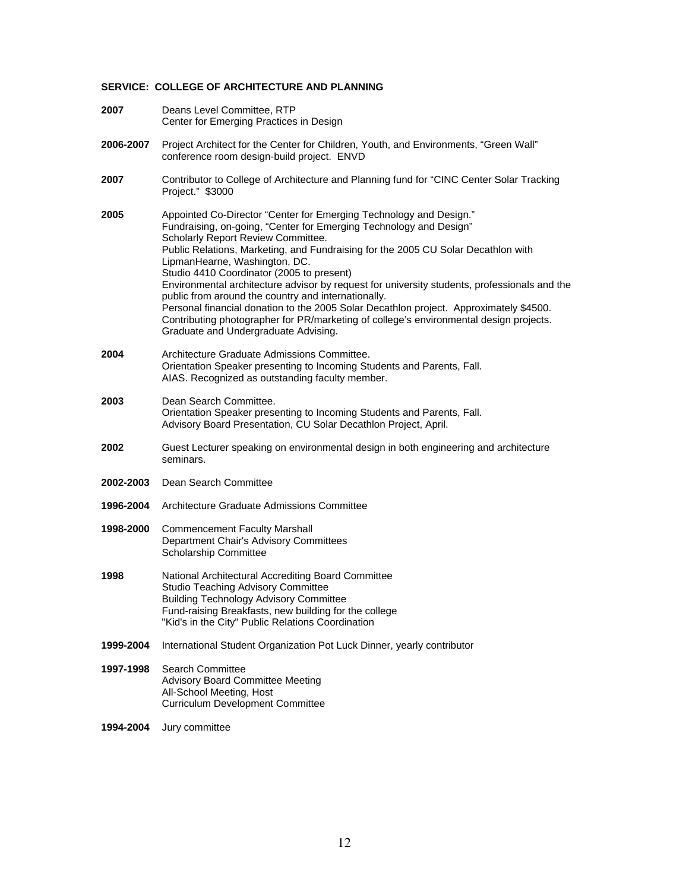### **SERVICE: COLLEGE OF ARCHITECTURE AND PLANNING**

| 2007      | Deans Level Committee, RTP<br>Center for Emerging Practices in Design                                                                                                                                                                                                                                                                                                                                                                                                                                                                                                                                                                                                                                                                |
|-----------|--------------------------------------------------------------------------------------------------------------------------------------------------------------------------------------------------------------------------------------------------------------------------------------------------------------------------------------------------------------------------------------------------------------------------------------------------------------------------------------------------------------------------------------------------------------------------------------------------------------------------------------------------------------------------------------------------------------------------------------|
| 2006-2007 | Project Architect for the Center for Children, Youth, and Environments, "Green Wall"<br>conference room design-build project. ENVD                                                                                                                                                                                                                                                                                                                                                                                                                                                                                                                                                                                                   |
| 2007      | Contributor to College of Architecture and Planning fund for "CINC Center Solar Tracking<br>Project." \$3000                                                                                                                                                                                                                                                                                                                                                                                                                                                                                                                                                                                                                         |
| 2005      | Appointed Co-Director "Center for Emerging Technology and Design."<br>Fundraising, on-going, "Center for Emerging Technology and Design"<br>Scholarly Report Review Committee.<br>Public Relations, Marketing, and Fundraising for the 2005 CU Solar Decathlon with<br>LipmanHearne, Washington, DC.<br>Studio 4410 Coordinator (2005 to present)<br>Environmental architecture advisor by request for university students, professionals and the<br>public from around the country and internationally.<br>Personal financial donation to the 2005 Solar Decathlon project. Approximately \$4500.<br>Contributing photographer for PR/marketing of college's environmental design projects.<br>Graduate and Undergraduate Advising. |
| 2004      | Architecture Graduate Admissions Committee.<br>Orientation Speaker presenting to Incoming Students and Parents, Fall.<br>AIAS. Recognized as outstanding faculty member.                                                                                                                                                                                                                                                                                                                                                                                                                                                                                                                                                             |
| 2003      | Dean Search Committee.<br>Orientation Speaker presenting to Incoming Students and Parents, Fall.<br>Advisory Board Presentation, CU Solar Decathlon Project, April.                                                                                                                                                                                                                                                                                                                                                                                                                                                                                                                                                                  |
| 2002      | Guest Lecturer speaking on environmental design in both engineering and architecture<br>seminars.                                                                                                                                                                                                                                                                                                                                                                                                                                                                                                                                                                                                                                    |
| 2002-2003 | Dean Search Committee                                                                                                                                                                                                                                                                                                                                                                                                                                                                                                                                                                                                                                                                                                                |
| 1996-2004 | Architecture Graduate Admissions Committee                                                                                                                                                                                                                                                                                                                                                                                                                                                                                                                                                                                                                                                                                           |
| 1998-2000 | <b>Commencement Faculty Marshall</b><br>Department Chair's Advisory Committees<br>Scholarship Committee                                                                                                                                                                                                                                                                                                                                                                                                                                                                                                                                                                                                                              |
| 1998      | National Architectural Accrediting Board Committee<br><b>Studio Teaching Advisory Committee</b><br><b>Building Technology Advisory Committee</b><br>Fund-raising Breakfasts, new building for the college<br>"Kid's in the City" Public Relations Coordination                                                                                                                                                                                                                                                                                                                                                                                                                                                                       |
| 1999-2004 | International Student Organization Pot Luck Dinner, yearly contributor                                                                                                                                                                                                                                                                                                                                                                                                                                                                                                                                                                                                                                                               |
| 1997-1998 | <b>Search Committee</b><br><b>Advisory Board Committee Meeting</b><br>All-School Meeting, Host<br><b>Curriculum Development Committee</b>                                                                                                                                                                                                                                                                                                                                                                                                                                                                                                                                                                                            |
| 1994-2004 | Jury committee                                                                                                                                                                                                                                                                                                                                                                                                                                                                                                                                                                                                                                                                                                                       |